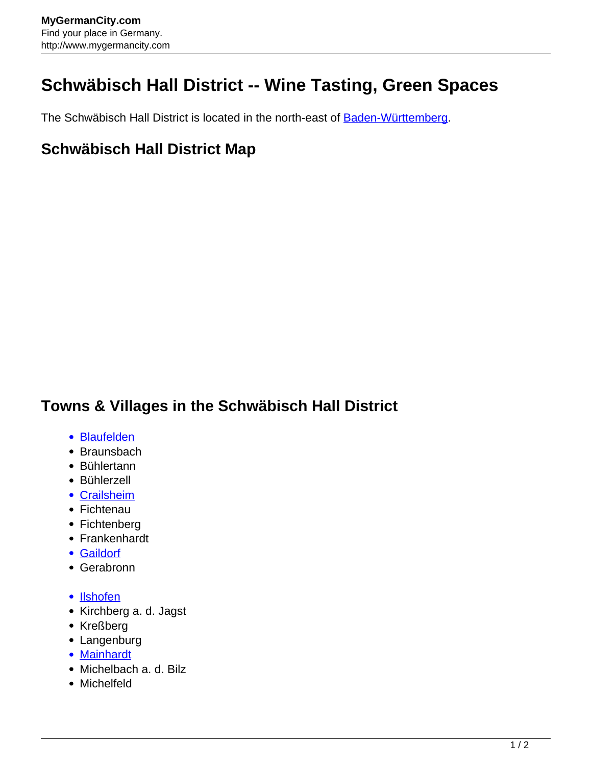## **Schwäbisch Hall District -- Wine Tasting, Green Spaces**

The Schwäbisch Hall District is located in the north-east of **Baden-Württemberg.** 

## **Schwäbisch Hall District Map**

## **Towns & Villages in the Schwäbisch Hall District**

- [Blaufelden](http://www.mygermancity.com/blaufelden)
- Braunsbach
- Bühlertann
- Bühlerzell
- [Crailsheim](http://www.mygermancity.com/crailsheim)
- Fichtenau
- Fichtenberg
- Frankenhardt
- [Gaildorf](http://www.mygermancity.com/gaildorf)
- Gerabronn
- [Ilshofen](http://www.mygermancity.com/ilshofen)
- Kirchberg a. d. Jagst
- Kreßberg
- Langenburg
- [Mainhardt](http://www.mygermancity.com/mainhardt)
- Michelbach a. d. Bilz
- Michelfeld